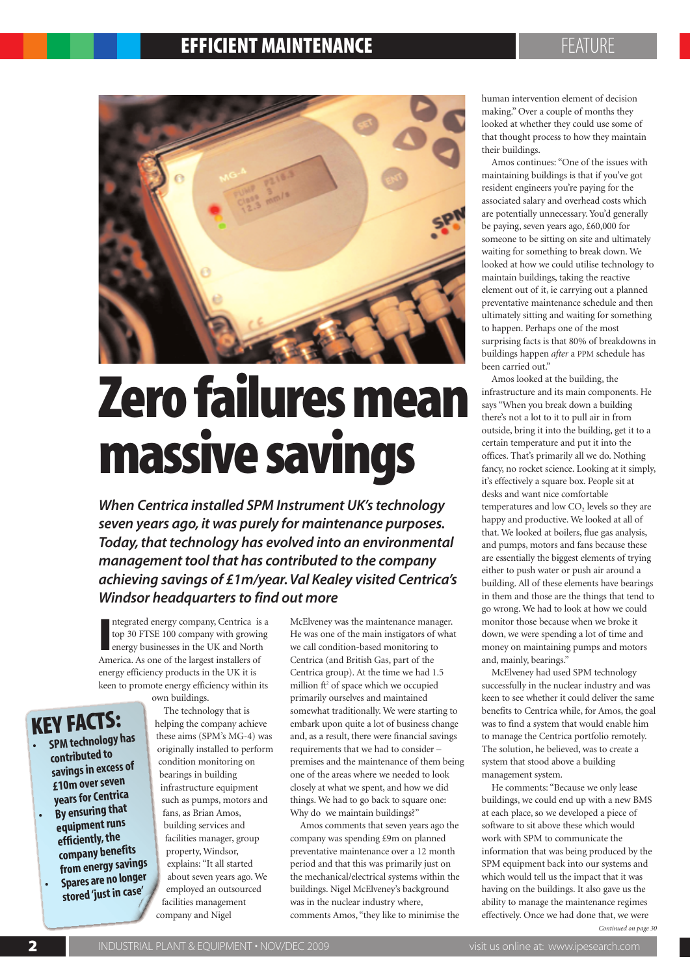### **EFFICIENT MAINTENANCE Experience of the set of the set of the set of the set of the set of the set of the set o**



# **Zero failures mean massive savings**

**When Centrica installed SPM Instrument UK's technology seven years ago, it was purely for maintenance purposes. Today, that technology has evolved into an environmental management tool that has contributed to the company achieving savings of £1m/year. Val Kealey visited Centrica's Windsor headquarters to find out more**

Integrated energy company, Centrica is<br>
top 30 FTSE 100 company with growin<br>
energy businesses in the UK and North<br>
America. As one of the largest installers of ntegrated energy company, Centrica is a top 30 FTSE 100 company with growing energy businesses in the UK and North energy efficiency products in the UK it is keen to promote energy efficiency within its own buildings.

### **KEY FACTS:**

**• SPMtechnology has contributed to savingsin excess of £10moverseven years** for Centrica **• By ensuring that equipment runs efficiently,the company benefits fromenergysavings • Spares are no longer stored 'just in case'**

The technology that is helping the company achieve these aims (SPM's MG-4) was originally installed to perform condition monitoring on bearings in building infrastructure equipment such as pumps, motors and fans, as Brian Amos, building services and facilities manager, group property, Windsor, explains: "It all started about seven years ago. We employed an outsourced facilities management company and Nigel

McElveney was the maintenance manager. He was one of the main instigators of what we call condition-based monitoring to Centrica (and British Gas, part of the Centrica group). At the time we had 1.5 million ft<sup>2</sup> of space which we occupied primarily ourselves and maintained somewhat traditionally. We were starting to embark upon quite a lot of business change and, as a result, there were financial savings requirements that we had to consider – premises and the maintenance of them being one of the areas where we needed to look closely at what we spent, and how we did things. We had to go back to square one: Why do we maintain buildings?"

Amos comments that seven years ago the company was spending £9m on planned preventative maintenance over a 12 month period and that this was primarily just on the mechanical/electrical systems within the buildings. Nigel McElveney's background was in the nuclear industry where, comments Amos, "they like to minimise the

human intervention element of decision making." Over a couple of months they looked at whether they could use some of that thought process to how they maintain their buildings.

Amos continues: "One of the issues with maintaining buildings is that if you've got resident engineers you're paying for the associated salary and overhead costs which are potentially unnecessary. You'd generally be paying, seven years ago, £60,000 for someone to be sitting on site and ultimately waiting for something to break down. We looked at how we could utilise technology to maintain buildings, taking the reactive element out of it, ie carrying out a planned preventative maintenance schedule and then ultimately sitting and waiting for something to happen. Perhaps one of the most surprising facts is that 80% of breakdowns in buildings happen *after* a PPM schedule has been carried out."

Amos looked at the building, the infrastructure and its main components. He says "When you break down a building there's not a lot to it to pull air in from outside, bring it into the building, get it to a certain temperature and put it into the offices. That's primarily all we do. Nothing fancy, no rocket science. Looking at it simply, it's effectively a square box. People sit at desks and want nice comfortable temperatures and low CO<sub>2</sub> levels so they are happy and productive. We looked at all of that. We looked at boilers, flue gas analysis, and pumps, motors and fans because these are essentially the biggest elements of trying either to push water or push air around a building. All of these elements have bearings in them and those are the things that tend to go wrong. We had to look at how we could monitor those because when we broke it down, we were spending a lot of time and money on maintaining pumps and motors and, mainly, bearings."

McElveney had used SPM technology successfully in the nuclear industry and was keen to see whether it could deliver the same benefits to Centrica while, for Amos, the goal was to find a system that would enable him to manage the Centrica portfolio remotely. The solution, he believed, was to create a system that stood above a building management system.

He comments: "Because we only lease buildings, we could end up with a new BMS at each place, so we developed a piece of software to sit above these which would work with SPM to communicate the information that was being produced by the SPM equipment back into our systems and which would tell us the impact that it was having on the buildings. It also gave us the ability to manage the maintenance regimes effectively. Once we had done that, we were

*Continued on page 30*